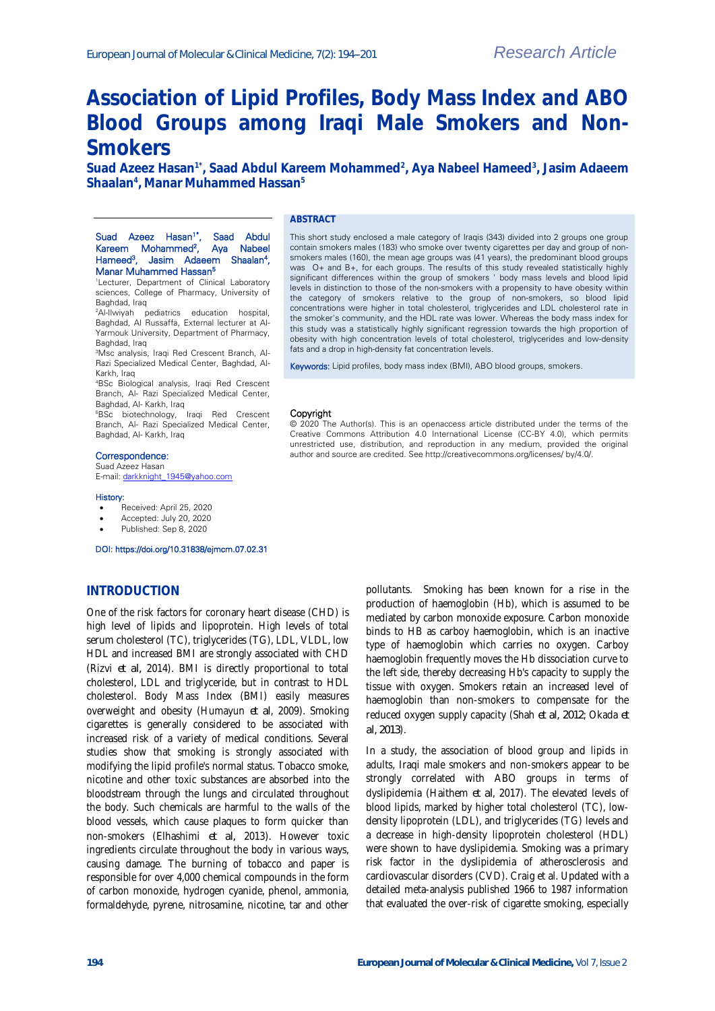# **Association of Lipid Profiles, Body Mass Index and ABO Blood Groups among Iraqi Male Smokers and Non-Smokers**

**Suad Azeez Hasan1\*, Saad Abdul Kareem Mohammed<sup>2</sup> , Aya Nabeel Hameed<sup>3</sup> , Jasim Adaeem Shaalan<sup>4</sup> , Manar Muhammed Hassan<sup>5</sup>**

#### **ABSTRACT**

#### Suad Azeez Hasan<sup>1\*</sup>, Saad Abdul Kareem Mohammed<sup>2</sup>, Aya Nabeel Hameed<sup>3</sup>, Jasim Adaeem Shaalan<sup>4</sup>, Manar Muhammed Hassan<sup>5</sup>

1Lecturer, Department of Clinical Laboratory sciences, College of Pharmacy, University of Baghdad, Iraq

<sup>2</sup>Al-Ilwiyah pediatrics education hospital, Baghdad, Al Russaffa, External lecturer at Al-Yarmouk University, Department of Pharmacy, Baghdad, Iraq

3Msc analysis, Iraqi Red Crescent Branch, Al-Razi Specialized Medical Center, Baghdad, Al-Karkh, Iraq

<sup>4</sup>BSc Biological analysis, Iraqi Red Crescent Branch, Al- Razi Specialized Medical Center, Baghdad, Al- Karkh, Iraq

<sup>5</sup>BSc biotechnology, Iraqi Red Crescent Branch, Al- Razi Specialized Medical Center, Baghdad, Al- Karkh, Iraq

#### Correspondence:

Suad Azeez Hasan

E-mail[: darkknight\\_1945@yahoo.com](mailto:darkknight_1945@yahoo.com)

#### History:

- Received: April 25, 2020
- Accepted: July 20, 2020
- Published: Sep 8, 2020

#### DOI: https://doi.org/10.31838/ejmcm.07.02.31

### **INTRODUCTION**

One of the risk factors for coronary heart disease (CHD) is high level of lipids and lipoprotein. High levels of total serum cholesterol (TC), triglycerides (TG), LDL, VLDL, low HDL and increased BMI are strongly associated with CHD (Rizvi *et al,* 2014). BMI is directly proportional to total cholesterol, LDL and triglyceride, but in contrast to HDL cholesterol. Body Mass Index (BMI) easily measures overweight and obesity (Humayun *et al*, 2009). Smoking cigarettes is generally considered to be associated with increased risk of a variety of medical conditions. Several studies show that smoking is strongly associated with modifying the lipid profile's normal status. Tobacco smoke, nicotine and other toxic substances are absorbed into the bloodstream through the lungs and circulated throughout the body. Such chemicals are harmful to the walls of the blood vessels, which cause plaques to form quicker than non-smokers (Elhashimi *et al,* 2013). However toxic ingredients circulate throughout the body in various ways, causing damage. The burning of tobacco and paper is responsible for over 4,000 chemical compounds in the form of carbon monoxide, hydrogen cyanide, phenol, ammonia, formaldehyde, pyrene, nitrosamine, nicotine, tar and other

This short study enclosed a male category of Iraqis (343) divided into 2 groups one group contain smokers males (183) who smoke over twenty cigarettes per day and group of nonsmokers males (160), the mean age groups was (41 years), the predominant blood groups was O+ and B+, for each groups. The results of this study revealed statistically highly significant differences within the group of smokers ' body mass levels and blood lipid levels in distinction to those of the non-smokers with a propensity to have obesity within the category of smokers relative to the group of non-smokers, so blood lipid concentrations were higher in total cholesterol, triglycerides and LDL cholesterol rate in the smoker's community, and the HDL rate was lower. Whereas the body mass index for this study was a statistically highly significant regression towards the high proportion of obesity with high concentration levels of total cholesterol, triglycerides and low-density fats and a drop in high-density fat concentration levels.

Keywords: Lipid profiles, body mass index (BMI), ABO blood groups, smokers.

#### Copyright

© 2020 The Author(s). This is an openaccess article distributed under the terms of the Creative Commons Attribution 4.0 International License (CC-BY 4.0), which permits unrestricted use, distribution, and reproduction in any medium, provided the original author and source are credited. See http://creativecommons.org/licenses/ by/4.0/.

> pollutants. Smoking has been known for a rise in the production of haemoglobin (Hb), which is assumed to be mediated by carbon monoxide exposure. Carbon monoxide binds to HB as carboy haemoglobin, which is an inactive type of haemoglobin which carries no oxygen. Carboy haemoglobin frequently moves the Hb dissociation curve to the left side, thereby decreasing Hb's capacity to supply the tissue with oxygen. Smokers retain an increased level of haemoglobin than non-smokers to compensate for the reduced oxygen supply capacity (Shah *et al, 2012*; Okada *et al, 2013*).

> In a study, the association of blood group and lipids in adults, Iraqi male smokers and non-smokers appear to be strongly correlated with ABO groups in terms of dyslipidemia (Haithem *et al*, 2017). The elevated levels of blood lipids, marked by higher total cholesterol (TC), lowdensity lipoprotein (LDL), and triglycerides (TG) levels and a decrease in high-density lipoprotein cholesterol (HDL) were shown to have dyslipidemia. Smoking was a primary risk factor in the dyslipidemia of atherosclerosis and cardiovascular disorders (CVD). Craig et al. Updated with a detailed meta-analysis published 1966 to 1987 information that evaluated the over-risk of cigarette smoking, especially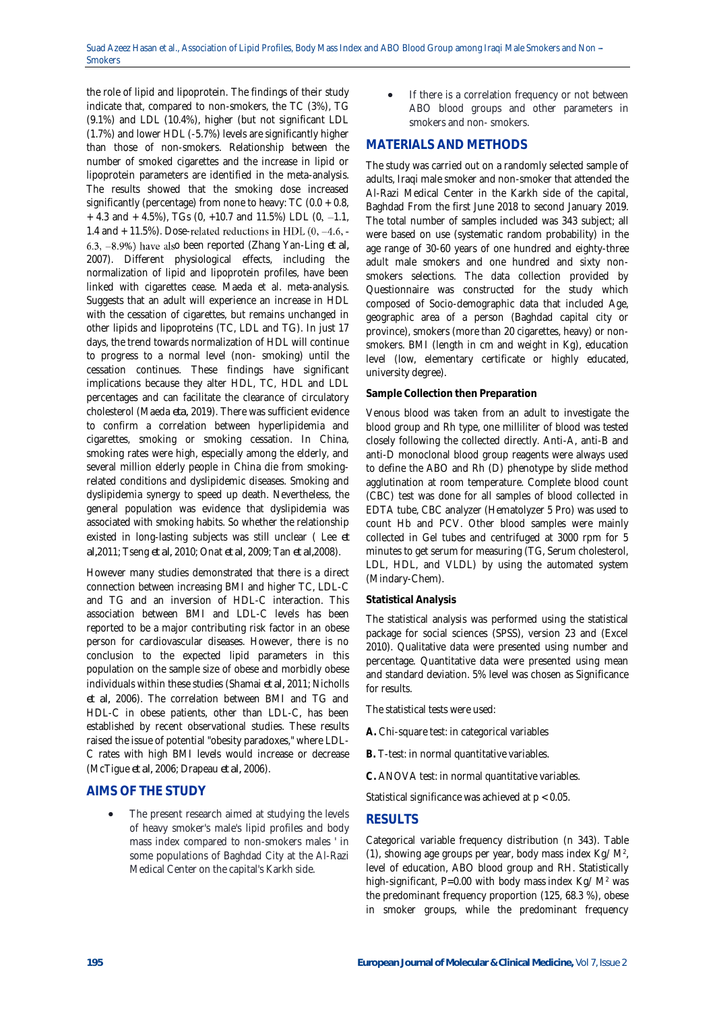the role of lipid and lipoprotein. The findings of their study indicate that, compared to non-smokers, the TC (3%), TG (9.1%) and LDL (10.4%), higher (but not significant LDL (1.7%) and lower HDL (-5.7%) levels are significantly higher than those of non-smokers. Relationship between the number of smoked cigarettes and the increase in lipid or lipoprotein parameters are identified in the meta-analysis. The results showed that the smoking dose increased significantly (percentage) from none to heavy: TC (0.0 + 0.8,  $+ 4.3$  and  $+ 4.5\%$ ), TGs (0,  $+10.7$  and 11.5%) LDL (0, -1.1, 1.4 and  $+$  11.5%). Dose-related reductions in HDL (0, -4.6, -6.3,  $-8.9%$ ) have also been reported (Zhang Yan-Ling *et al,* 2007). Different physiological effects, including the normalization of lipid and lipoprotein profiles, have been linked with cigarettes cease. Maeda et al. meta-analysis. Suggests that an adult will experience an increase in HDL with the cessation of cigarettes, but remains unchanged in other lipids and lipoproteins (TC, LDL and TG). In just 17 days, the trend towards normalization of HDL will continue to progress to a normal level (non- smoking) until the cessation continues. These findings have significant implications because they alter HDL, TC, HDL and LDL percentages and can facilitate the clearance of circulatory cholesterol (Maeda *eta,* 2019). There was sufficient evidence to confirm a correlation between hyperlipidemia and cigarettes, smoking or smoking cessation. In China, smoking rates were high, especially among the elderly, and several million elderly people in China die from smokingrelated conditions and dyslipidemic diseases. Smoking and dyslipidemia synergy to speed up death. Nevertheless, the general population was evidence that dyslipidemia was associated with smoking habits. So whether the relationship existed in long-lasting subjects was still unclear ( Lee *et al,*2011; Tseng *et al,* 2010; Onat *et al,* 2009; Tan *et al,*2008).

However many studies demonstrated that there is a direct connection between increasing BMI and higher TC, LDL-C and TG and an inversion of HDL-C interaction. This association between BMI and LDL-C levels has been reported to be a major contributing risk factor in an obese person for cardiovascular diseases. However, there is no conclusion to the expected lipid parameters in this population on the sample size of obese and morbidly obese individuals within these studies (Shamai *et al,* 2011; Nicholls *et al,* 2006). The correlation between BMI and TG and HDL-C in obese patients, other than LDL-C, has been established by recent observational studies. These results raised the issue of potential "obesity paradoxes," where LDL-C rates with high BMI levels would increase or decrease (McTigue *et al,* 2006; Drapeau *et al,* 2006).

### **AIMS OF THE STUDY**

 The present research aimed at studying the levels of heavy smoker's male's lipid profiles and body mass index compared to non-smokers males ' in some populations of Baghdad City at the Al-Razi Medical Center on the capital's Karkh side.

 If there is a correlation frequency or not between ABO blood groups and other parameters in smokers and non- smokers.

### **MATERIALS AND METHODS**

The study was carried out on a randomly selected sample of adults, Iraqi male smoker and non-smoker that attended the Al-Razi Medical Center in the Karkh side of the capital, Baghdad From the first June 2018 to second January 2019. The total number of samples included was 343 subject; all were based on use (systematic random probability) in the age range of 30-60 years of one hundred and eighty-three adult male smokers and one hundred and sixty nonsmokers selections. The data collection provided by Questionnaire was constructed for the study which composed of Socio-demographic data that included Age, geographic area of a person (Baghdad capital city or province), smokers (more than 20 cigarettes, heavy) or nonsmokers. BMI (length in cm and weight in Kg), education level (low, elementary certificate or highly educated, university degree).

#### **Sample Collection then Preparation**

Venous blood was taken from an adult to investigate the blood group and Rh type, one milliliter of blood was tested closely following the collected directly. Anti-A, anti-B and anti-D monoclonal blood group reagents were always used to define the ABO and Rh (D) phenotype by slide method agglutination at room temperature. Complete blood count (CBC) test was done for all samples of blood collected in EDTA tube, CBC analyzer (Hematolyzer 5 Pro) was used to count Hb and PCV. Other blood samples were mainly collected in Gel tubes and centrifuged at 3000 rpm for 5 minutes to get serum for measuring (TG, Serum cholesterol, LDL, HDL, and VLDL) by using the automated system (Mindary-Chem).

#### **Statistical Analysis**

The statistical analysis was performed using the statistical package for social sciences (SPSS), version 23 and (Excel 2010). Qualitative data were presented using number and percentage. Quantitative data were presented using mean and standard deviation. 5% level was chosen as Significance for results.

The statistical tests were used:

- **A.** Chi-square test: in categorical variables
- **B.** T-test: in normal quantitative variables.

**C.** ANOVA test: in normal quantitative variables.

Statistical significance was achieved at p < 0.05.

### **RESULTS**

Categorical variable frequency distribution (n 343). Table (1), showing age groups per year, body mass index Kg/ M<sup>2</sup> , level of education, ABO blood group and RH. Statistically high-significant, P=0.00 with body mass index  $Kg/M^2$  was the predominant frequency proportion (125, 68.3 %), obese in smoker groups, while the predominant frequency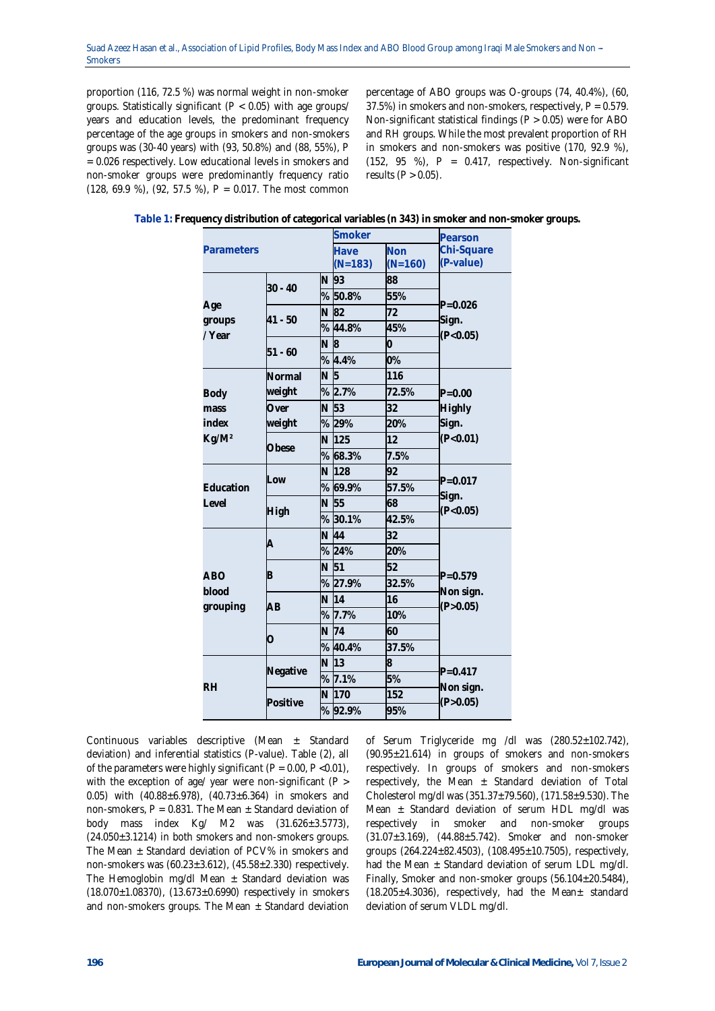proportion (116, 72.5 %) was normal weight in non-smoker groups. Statistically significant (P < 0.05) with age groups/ years and education levels, the predominant frequency percentage of the age groups in smokers and non-smokers groups was (30-40 years) with (93, 50.8%) and (88, 55%), P = 0.026 respectively. Low educational levels in smokers and non-smoker groups were predominantly frequency ratio (128, 69.9 %), (92, 57.5 %), P = 0.017. The most common

percentage of ABO groups was O-groups (74, 40.4%), (60, 37.5%) in smokers and non-smokers, respectively, P = 0.579. Non-significant statistical findings (P > 0.05) were for ABO and RH groups. While the most prevalent proportion of RH in smokers and non-smokers was positive (170, 92.9 %),  $(152, 95 \%)$ , P = 0.417, respectively. Non-significant results  $(P > 0.05)$ .

| Parameters         |           |    | энтокег           |                         | Pearson                 |  |
|--------------------|-----------|----|-------------------|-------------------------|-------------------------|--|
|                    |           |    | Have<br>$(N=183)$ | <b>Non</b><br>$(N=160)$ | Chi-Square<br>(P-value) |  |
|                    |           | N. | 93                | 88                      |                         |  |
|                    | $30 - 40$ |    | %50.8%            | 55%                     |                         |  |
| Age                |           | N  | 82                | 72                      | $P = 0.026$             |  |
| groups<br>/ Year   | $41 - 50$ | %  | 44.8%             | 45%                     | Sign.<br>(P<0.05)       |  |
|                    |           | N  | 8                 | 0                       |                         |  |
|                    | $51 - 60$ |    | % 4.4%            | 0%                      |                         |  |
|                    | Normal    | N  | 5                 | 116                     |                         |  |
| Body               | weight    |    | % 2.7%            | 72.5%                   | $P = 0.00$              |  |
| mass               | Over      | N  | 53                | 32                      | Highly                  |  |
| index              | weight    |    | % 29%             | 20%                     | Sign.                   |  |
| Kg/M <sup>2</sup>  | Obese     |    | N 125             | 12                      | (P<0.01)                |  |
|                    |           |    | % 68.3%           | 7.5%                    |                         |  |
|                    | Low       | N  | 128               | 92                      |                         |  |
| Education<br>Level |           | %  | 69.9%             | 57.5%                   | $P = 0.017$<br>Sign.    |  |
|                    | High      | N  | 55                | 68                      | (P<0.05)                |  |
|                    |           | %  | 30.1%             | 42.5%                   |                         |  |
|                    | A         | N  | 44                | 32                      |                         |  |
|                    |           | %  | 24%               | 20%                     |                         |  |
| <b>ABO</b>         | B         | N  | 51                | 52                      | $P = 0.579$             |  |
| blood              |           | ℅  | 27.9%             | 32.5%                   | Non sign.               |  |
| grouping           | AВ        | N  | 14                | 16                      | (P>0.05)                |  |
|                    |           | %  | 7.7%              | 10%                     |                         |  |
|                    | Ο         | N  | 74                | 60                      |                         |  |
|                    |           |    | % 40.4%           | 37.5%                   |                         |  |
|                    | Negative  | N  | 13                | 8                       | $P = 0.417$             |  |
| <b>RH</b>          |           | %  | 7.1%              | 5%                      | Non sign.               |  |
|                    | Positive  | N  | 170               | 152                     | (P > 0.05)              |  |
|                    |           |    | %92.9%            | 95%                     |                         |  |

**Table 1: Frequency distribution of categorical variables (n 343) in smoker and non-smoker groups.**

**Smoker Pearson**

Continuous variables descriptive (Mean ± Standard deviation) and inferential statistics (P-value). Table (2), all of the parameters were highly significant ( $P = 0.00$ ,  $P < 0.01$ ), with the exception of age/ year were non-significant (P > 0.05) with  $(40.88 \pm 6.978)$ ,  $(40.73 \pm 6.364)$  in smokers and non-smokers,  $P = 0.831$ . The Mean  $\pm$  Standard deviation of body mass index Kg/ M2 was (31.626±3.5773), (24.050±3.1214) in both smokers and non-smokers groups. The Mean  $\pm$  Standard deviation of PCV% in smokers and non-smokers was (60.23±3.612), (45.58±2.330) respectively. The Hemoglobin mg/dl Mean  $\pm$  Standard deviation was (18.070±1.08370), (13.673±0.6990) respectively in smokers and non-smokers groups. The Mean  $\pm$  Standard deviation

of Serum Triglyceride mg /dl was (280.52±102.742), (90.95±21.614) in groups of smokers and non-smokers respectively. In groups of smokers and non-smokers respectively, the Mean  $\pm$  Standard deviation of Total Cholesterol mg/dl was (351.37±79.560), (171.58±9.530). The Mean  $\pm$  Standard deviation of serum HDL mg/dl was respectively in smoker and non-smoker groups (31.07±3.169), (44.88±5.742). Smoker and non-smoker groups (264.224±82.4503), (108.495±10.7505), respectively, had the Mean  $\pm$  Standard deviation of serum LDL mg/dl. Finally, Smoker and non-smoker groups (56.104±20.5484), (18.205 $\pm$ 4.3036), respectively, had the Mean $\pm$  standard deviation of serum VLDL mg/dl.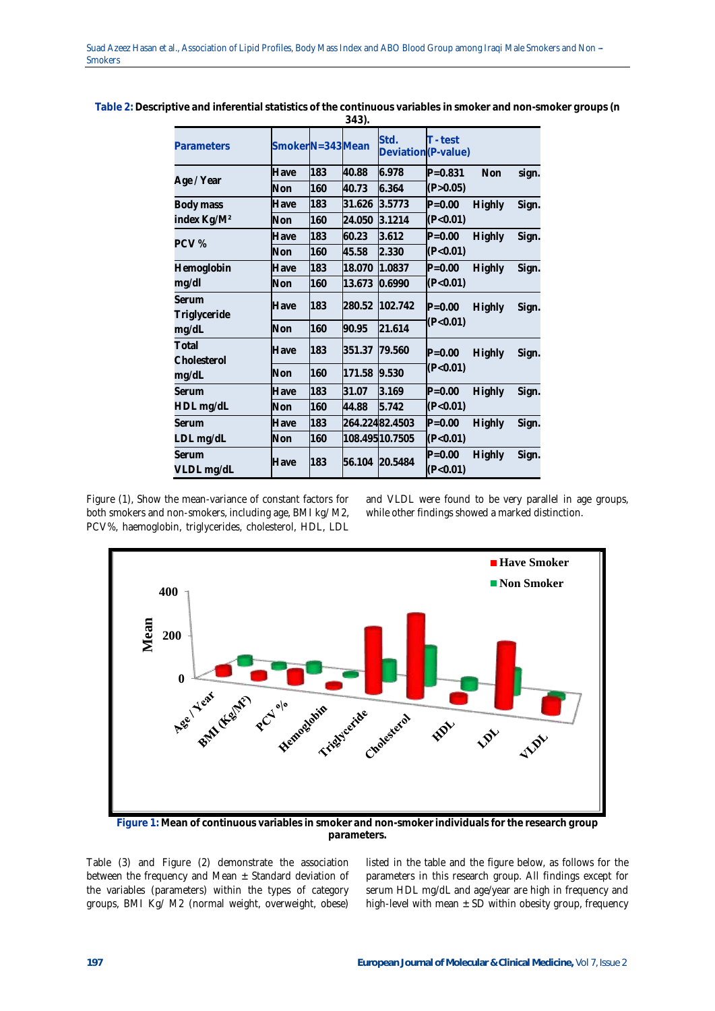|                         |                 |     | 343).  |                             |             |               |       |
|-------------------------|-----------------|-----|--------|-----------------------------|-------------|---------------|-------|
| Parameters              | SmokerN=343Mean |     |        | Std.<br>Deviation (P-value) | T - test    |               |       |
|                         | Have            | 183 | 40.88  | 6.978                       | $P = 0.831$ | Non           | sign. |
| Age / Year              | Non             | 160 | 40.73  | 6.364                       | (P > 0.05)  |               |       |
| Body mass               | Have            | 183 | 31.626 | 3.5773                      | $P = 0.00$  | Highly        | Sign. |
| index Kg/M <sup>2</sup> | Non             | 160 | 24.050 | 3.1214                      | (P<0.01)    |               |       |
| PCV%                    | Have            | 183 | 60.23  | 3.612                       | $P = 0.00$  | Highly        | Sign. |
|                         | Non             | 160 | 45.58  | 2.330                       | (P<0.01)    |               |       |
| Hemoglobin              | Have            | 183 | 18.070 | 1.0837                      | $P = 0.00$  | Highly        | Sign. |
| mg/dl                   | Non             | 160 | 13.673 | 0.6990                      | (P<0.01)    |               |       |
| Serum<br>Triglyceride   | Have            | 183 | 280.52 | 102.742                     | $P = 0.00$  | <b>Highly</b> | Sign. |
| mg/dL                   | Non             | 160 | 90.95  | 21.614                      | (P<0.01)    |               |       |
| Total<br>Cholesterol    | Have            | 183 | 351.37 | 79.560                      | $P = 0.00$  | Highly        | Sign. |
| mg/dL                   | Non             | 160 | 171.58 | 9.530                       | (P<0.01)    |               |       |
| Serum                   | Have            | 183 | 31.07  | 3.169                       | $P = 0.00$  | Highly        | Sign. |
| HDL mg/dL               | Non             | 160 | 44.88  | 5.742                       | (P<0.01)    |               |       |
| Serum                   | Have            | 183 |        | 264.22482.4503              | $P = 0.00$  | Highly        | Sign. |
| LDL mg/dL               | Non             | 160 |        | 108.49510.7505              | (P<0.01)    |               |       |
| Serum                   | Have            | 183 | 56.104 | 20.5484                     | $P = 0.00$  | Highly        | Sign. |
| VLDL mg/dL              |                 |     |        |                             | (P<0.01)    |               |       |

**Table 2: Descriptive and inferential statistics of the continuous variables in smoker and non-smoker groups (n** 

Figure (1), Show the mean-variance of constant factors for both smokers and non-smokers, including age, BMI kg/ M2, PCV%, haemoglobin, triglycerides, cholesterol, HDL, LDL

and VLDL were found to be very parallel in age groups, while other findings showed a marked distinction.



**Figure 1: Mean of continuous variables in smoker and non-smoker individuals for the research group parameters.**

Table (3) and Figure (2) demonstrate the association between the frequency and Mean  $\pm$  Standard deviation of the variables (parameters) within the types of category groups, BMI Kg/ M2 (normal weight, overweight, obese) listed in the table and the figure below, as follows for the parameters in this research group. All findings except for serum HDL mg/dL and age/year are high in frequency and high-level with mean  $\pm$  SD within obesity group, frequency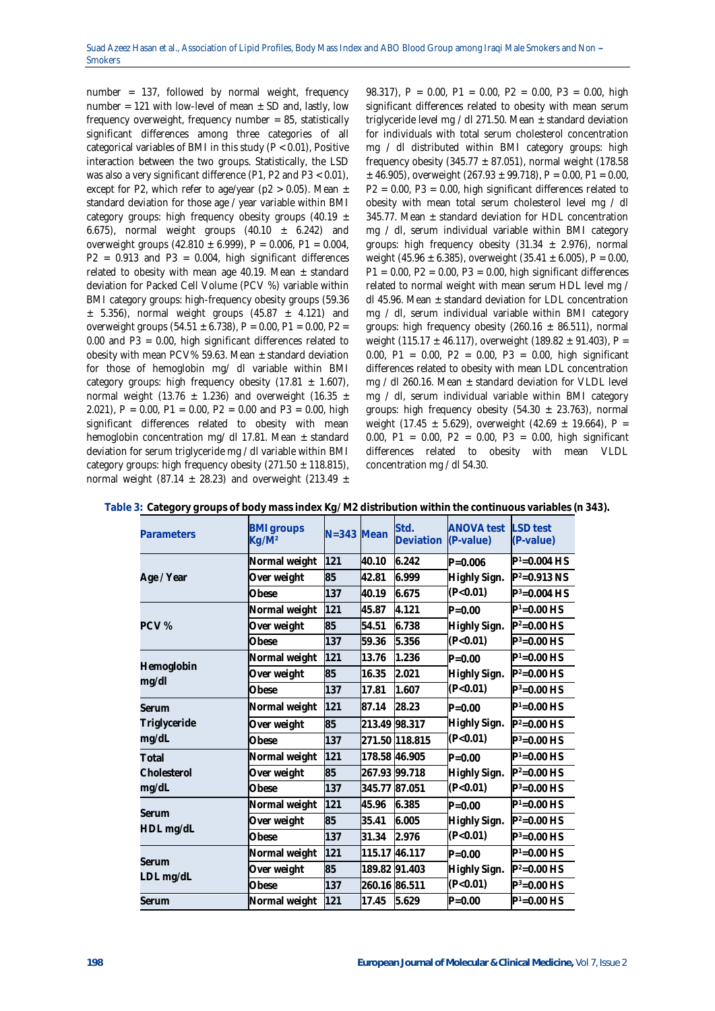number = 137, followed by normal weight, frequency number = 121 with low-level of mean  $\pm$  SD and, lastly, low frequency overweight, frequency number = 85, statistically significant differences among three categories of all categorical variables of BMI in this study (P < 0.01), Positive interaction between the two groups. Statistically, the LSD was also a very significant difference (P1, P2 and P3 < 0.01), except for P2, which refer to age/year ( $p2 > 0.05$ ). Mean  $\pm$ standard deviation for those age / year variable within BMI category groups: high frequency obesity groups (40.19  $\pm$ 6.675), normal weight groups  $(40.10 \pm 6.242)$  and overweight groups  $(42.810 \pm 6.999)$ , P = 0.006, P1 = 0.004,  $P2 = 0.913$  and  $P3 = 0.004$ , high significant differences related to obesity with mean age 40.19. Mean  $\pm$  standard deviation for Packed Cell Volume (PCV %) variable within BMI category groups: high-frequency obesity groups (59.36  $\pm$  5.356), normal weight groups (45.87  $\pm$  4.121) and overweight groups (54.51  $\pm$  6.738), P = 0.00, P1 = 0.00, P2 = 0.00 and P3 = 0.00, high significant differences related to obesity with mean PCV% 59.63. Mean  $\pm$  standard deviation for those of hemoglobin mg/ dl variable within BMI category groups: high frequency obesity  $(17.81 \pm 1.607)$ , normal weight (13.76  $\pm$  1.236) and overweight (16.35  $\pm$ 2.021), P = 0.00, P1 = 0.00, P2 = 0.00 and P3 = 0.00, high significant differences related to obesity with mean hemoglobin concentration mg/ dl 17.81. Mean  $\pm$  standard deviation for serum triglyceride mg / dl variable within BMI category groups: high frequency obesity  $(271.50 \pm 118.815)$ , normal weight (87.14  $\pm$  28.23) and overweight (213.49  $\pm$ 

98.317), P = 0.00, P1 = 0.00, P2 = 0.00, P3 = 0.00, high significant differences related to obesity with mean serum triglyceride level mg / dl 271.50. Mean  $\pm$  standard deviation for individuals with total serum cholesterol concentration mg / dl distributed within BMI category groups: high frequency obesity (345.77  $\pm$  87.051), normal weight (178.58  $\pm$  46.905), overweight (267.93  $\pm$  99.718), P = 0.00, P1 = 0.00, P2 = 0.00, P3 = 0.00, high significant differences related to obesity with mean total serum cholesterol level mg / dl 345.77. Mean  $\pm$  standard deviation for HDL concentration mg / dl, serum individual variable within BMI category groups: high frequency obesity  $(31.34 \pm 2.976)$ , normal weight (45.96  $\pm$  6.385), overweight (35.41  $\pm$  6.005), P = 0.00,  $P1 = 0.00$ ,  $P2 = 0.00$ ,  $P3 = 0.00$ , high significant differences related to normal weight with mean serum HDL level mg / dl 45.96. Mean  $\pm$  standard deviation for LDL concentration mg / dl, serum individual variable within BMI category groups: high frequency obesity (260.16  $\pm$  86.511), normal weight (115.17  $\pm$  46.117), overweight (189.82  $\pm$  91.403), P = 0.00, P1 = 0.00, P2 = 0.00, P3 = 0.00, high significant differences related to obesity with mean LDL concentration mg / dl 260.16. Mean  $\pm$  standard deviation for VLDL level mg / dl, serum individual variable within BMI category groups: high frequency obesity  $(54.30 \pm 23.763)$ , normal weight (17.45  $\pm$  5.629), overweight (42.69  $\pm$  19.664), P = 0.00, P1 = 0.00, P2 = 0.00, P3 = 0.00, high significant differences related to obesity with mean VLDL concentration mg / dl 54.30.

| Parameters                     | <b>BMI</b> groups<br>Kg/M <sup>2</sup> | $N = 343$ Mean |               | Std.<br>Deviation | <b>ANOVA</b> test<br>(P-value) | I SD test<br>(P-value) |
|--------------------------------|----------------------------------------|----------------|---------------|-------------------|--------------------------------|------------------------|
|                                | Normal weight                          | 121            | 40.10         | 6.242             | $P = 0.006$                    | $P^1 = 0.004$ HS       |
| Age / Year                     | Over weight                            | 85             | 42.81         | 6.999             | Highly Sign.                   | $P^2 = 0.913$ NS       |
|                                | Obese                                  | 137            | 40.19         | 6.675             | (P<0.01)                       | $P^3 = 0.004$ HS       |
|                                | Normal weight                          | 121            | 45.87         | 4.121             | $P = 0.00$                     | $P1=0.00$ HS           |
| PCV%                           | Over weight                            | 85             | 54.51         | 6.738             | Highly Sign.                   | $P^2 = 0.00$ HS        |
|                                | Obese                                  | 137            | 59.36         | 5.356             | (P<0.01)                       | $P^3 = 0.00$ HS        |
|                                | Normal weight                          | 121            | 13.76         | 1.236             | $P = 0.00$                     | $P1=0.00$ HS           |
| Hemoglobin<br>mg/dl            | Over weight                            | 85             | 16.35         | 2.021             | Highly Sign.                   | $P^2 = 0.00$ HS        |
|                                | Obese                                  | 137            | 17.81         | 1.607             | (P<0.01)                       | $P^3 = 0.00$ HS        |
| Serum<br>Triglyceride<br>mg/dL | Normal weight                          | 121            | 87.14         | 28.23             | $P = 0.00$                     | $P1=0.00$ HS           |
|                                | Over weight                            | 85             | 213.49        | 98.317            | Highly Sign.                   | $P^2 = 0.00$ HS        |
|                                | Obese                                  | 137            |               | 271.50 118.815    | (P<0.01)                       | $P^3 = 0.00$ HS        |
| Total                          | Normal weight                          | 121            | 178.58 46.905 |                   | $P = 0.00$                     | $P1=0.00$ HS           |
| Cholesterol<br>mg/dL           | Over weight                            | 85             | 267.93 99.718 |                   | Highly Sign.                   | $P^2 = 0.00$ HS        |
|                                | Obese                                  | 137            | 345.77        | 87.051            | (P<0.01)                       | $P^3 = 0.00$ HS        |
|                                | Normal weight                          | 121            | 45.96         | 6.385             | $P = 0.00$                     | $P1=0.00$ HS           |
| Serum<br>HDL mg/dL             | Over weight                            | 85             | 35.41         | 6.005             | Highly Sign.                   | $P^2 = 0.00$ HS        |
|                                | Obese                                  | 137            | 31.34         | 2.976             | (P<0.01)                       | $P^3 = 0.00$ HS        |
|                                | Normal weight                          | 121            | 115.17        | 46.117            | $P = 0.00$                     | $P1=0.00$ HS           |
| Serum<br>LDL mg/dL             | Over weight                            | 85             |               | 189.82 91.403     | Highly Sign.                   | $P^2 = 0.00$ HS        |
|                                | Obese                                  | 137            | 260.16 86.511 |                   | (P<0.01)                       | $P^3 = 0.00$ HS        |
| Serum                          | Normal weight                          | 121            | 17.45         | 5.629             | $P = 0.00$                     | $P1=0.00$ HS           |

|  | Table 3: Category groups of body mass index Kg/M2 distribution within the continuous variables (n 343). |  |  |
|--|---------------------------------------------------------------------------------------------------------|--|--|
|  |                                                                                                         |  |  |
|  |                                                                                                         |  |  |
|  |                                                                                                         |  |  |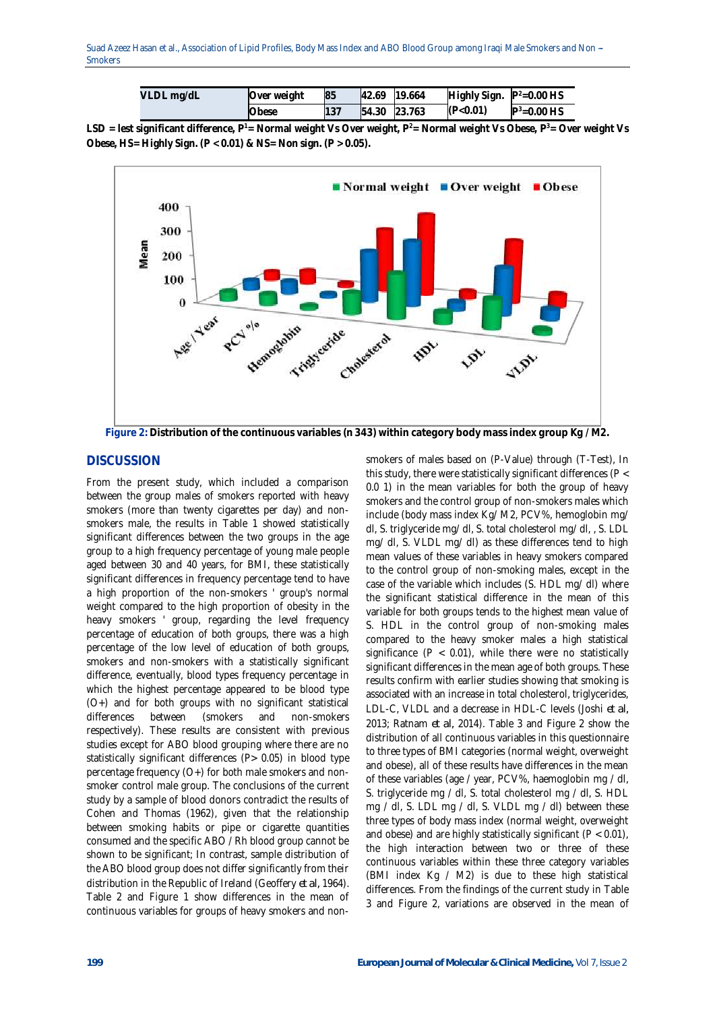Suad Azeez Hasan et al., Association of Lipid Profiles, Body Mass Index and ABO Blood Group among Iraqi Male Smokers and Non -**Smokers** 

| VLDL mg/dL | Over weight | 85 | 42.69 19.664 | Highly Sign. $P^2=0.00$ HS |                 |
|------------|-------------|----|--------------|----------------------------|-----------------|
|            | Obese       |    | 54.30 23.763 | (P<0.01)                   | $P^3 = 0.00$ HS |

**LSD = lest significant difference, P <sup>1</sup>= Normal weight Vs Over weight, P <sup>2</sup>= Normal weight Vs Obese, P <sup>3</sup>= Over weight Vs Obese, HS= Highly Sign. (P < 0.01) & NS= Non sign. (P > 0.05).**



**Figure 2: Distribution of the continuous variables (n 343) within category body mass index group Kg / M2.**

### **DISCUSSION**

From the present study, which included a comparison between the group males of smokers reported with heavy smokers (more than twenty cigarettes per day) and nonsmokers male, the results in Table 1 showed statistically significant differences between the two groups in the age group to a high frequency percentage of young male people aged between 30 and 40 years, for BMI, these statistically significant differences in frequency percentage tend to have a high proportion of the non-smokers ' group's normal weight compared to the high proportion of obesity in the heavy smokers ' group, regarding the level frequency percentage of education of both groups, there was a high percentage of the low level of education of both groups, smokers and non-smokers with a statistically significant difference, eventually, blood types frequency percentage in which the highest percentage appeared to be blood type (O+) and for both groups with no significant statistical differences between (smokers and non-smokers respectively). These results are consistent with previous studies except for ABO blood grouping where there are no statistically significant differences (P> 0.05) in blood type percentage frequency (O+) for both male smokers and nonsmoker control male group. The conclusions of the current study by a sample of blood donors contradict the results of Cohen and Thomas (1962), given that the relationship between smoking habits or pipe or cigarette quantities consumed and the specific ABO / Rh blood group cannot be shown to be significant; In contrast, sample distribution of the ABO blood group does not differ significantly from their distribution in the Republic of Ireland (Geoffery *et al,* 1964). Table 2 and Figure 1 show differences in the mean of continuous variables for groups of heavy smokers and nonsmokers of males based on (P-Value) through (T-Test), In this study, there were statistically significant differences (P < 0.0 1) in the mean variables for both the group of heavy smokers and the control group of non-smokers males which include (body mass index Kg/ M2, PCV%, hemoglobin mg/ dl, S. triglyceride mg/ dl, S. total cholesterol mg/ dl, , S. LDL mg/ dl, S. VLDL mg/ dl) as these differences tend to high mean values of these variables in heavy smokers compared to the control group of non-smoking males, except in the case of the variable which includes (S. HDL mg/ dl) where the significant statistical difference in the mean of this variable for both groups tends to the highest mean value of S. HDL in the control group of non-smoking males compared to the heavy smoker males a high statistical significance ( $P < 0.01$ ), while there were no statistically significant differences in the mean age of both groups. These results confirm with earlier studies showing that smoking is associated with an increase in total cholesterol, triglycerides, LDL-C, VLDL and a decrease in HDL-C levels (Joshi *et al,*  2013; Ratnam *et al,* 2014). Table 3 and Figure 2 show the distribution of all continuous variables in this questionnaire to three types of BMI categories (normal weight, overweight and obese), all of these results have differences in the mean of these variables (age / year, PCV%, haemoglobin mg / dl, S. triglyceride mg / dl, S. total cholesterol mg / dl, S. HDL mg / dl, S. LDL mg / dl, S. VLDL mg / dl) between these three types of body mass index (normal weight, overweight and obese) and are highly statistically significant ( $P < 0.01$ ), the high interaction between two or three of these continuous variables within these three category variables (BMI index Kg / M2) is due to these high statistical differences. From the findings of the current study in Table 3 and Figure 2, variations are observed in the mean of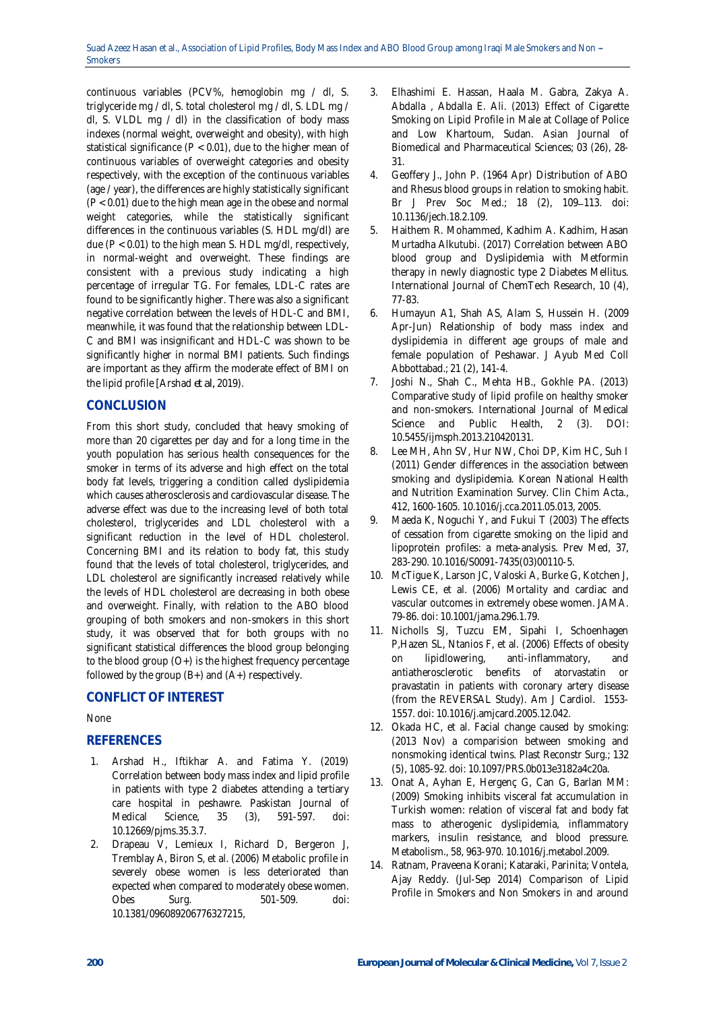continuous variables (PCV%, hemoglobin mg / dl, S. triglyceride mg / dl, S. total cholesterol mg / dl, S. LDL mg / dl, S. VLDL mg / dl) in the classification of body mass indexes (normal weight, overweight and obesity), with high statistical significance (P < 0.01), due to the higher mean of continuous variables of overweight categories and obesity respectively, with the exception of the continuous variables (age / year), the differences are highly statistically significant (P < 0.01) due to the high mean age in the obese and normal weight categories, while the statistically significant differences in the continuous variables (S. HDL mg/dl) are due ( $P < 0.01$ ) to the high mean S. HDL mg/dl, respectively, in normal-weight and overweight. These findings are consistent with a previous study indicating a high percentage of irregular TG. For females, LDL-C rates are found to be significantly higher. There was also a significant negative correlation between the levels of HDL-C and BMI, meanwhile, it was found that the relationship between LDL-C and BMI was insignificant and HDL-C was shown to be significantly higher in normal BMI patients. Such findings are important as they affirm the moderate effect of BMI on the lipid profile [Arshad *et al,* 2019).

## **CONCLUSION**

From this short study, concluded that heavy smoking of more than 20 cigarettes per day and for a long time in the youth population has serious health consequences for the smoker in terms of its adverse and high effect on the total body fat levels, triggering a condition called dyslipidemia which causes atherosclerosis and cardiovascular disease. The adverse effect was due to the increasing level of both total cholesterol, triglycerides and LDL cholesterol with a significant reduction in the level of HDL cholesterol. Concerning BMI and its relation to body fat, this study found that the levels of total cholesterol, triglycerides, and LDL cholesterol are significantly increased relatively while the levels of HDL cholesterol are decreasing in both obese and overweight. Finally, with relation to the ABO blood grouping of both smokers and non-smokers in this short study, it was observed that for both groups with no significant statistical differences the blood group belonging to the blood group  $(O<sub>+</sub>)$  is the highest frequency percentage followed by the group  $(B+)$  and  $(A+)$  respectively.

# **CONFLICT OF INTEREST**

### None

### **REFERENCES**

- 1. Arshad H., Iftikhar A. and Fatima Y. (2019) Correlation between body mass index and lipid profile in patients with type 2 diabetes attending a tertiary care hospital in peshawre. Paskistan Journal of Medical Science, 35 (3), 591-597. doi: 10.12669/pjms.35.3.7.
- 2. Drapeau V, Lemieux I, Richard D, Bergeron J, Tremblay A, Biron S, et al. (2006) Metabolic profile in severely obese women is less deteriorated than expected when compared to moderately obese women. Obes Surg. 501-509. doi: 10.1381/096089206776327215,
- 3. Elhashimi E. Hassan, Haala M. Gabra, Zakya A. Abdalla , Abdalla E. Ali. (2013) Effect of Cigarette Smoking on Lipid Profile in Male at Collage of Police and Low Khartoum, Sudan. Asian Journal of Biomedical and Pharmaceutical Sciences; 03 (26), 28- 31.
- 4. Geoffery J., John P. (1964 Apr) Distribution of ABO and Rhesus blood groups in relation to smoking habit. Br J Prev Soc Med.; 18 (2), 109-113. doi: 10.1136/jech.18.2.109.
- 5. Haithem R. Mohammed, Kadhim A. Kadhim, Hasan Murtadha Alkutubi. (2017) Correlation between ABO blood group and Dyslipidemia with Metformin therapy in newly diagnostic type 2 Diabetes Mellitus. International Journal of ChemTech Research, 10 (4), 77-83.
- 6. Humayun A1, Shah AS, Alam S, Hussein H. (2009 Apr-Jun) Relationship of body mass index and dyslipidemia in different age groups of male and female population of Peshawar. J Ayub Med Coll Abbottabad.; 21 (2), 141-4.
- 7. Joshi N., Shah C., Mehta HB., Gokhle PA. (2013) Comparative study of lipid profile on healthy smoker and non-smokers. International Journal of Medical Science and Public Health, 2 (3). DOI: 10.5455/ijmsph.2013.210420131.
- 8. Lee MH, Ahn SV, Hur NW, Choi DP, Kim HC, Suh I (2011) Gender differences in the association between smoking and dyslipidemia. Korean National Health and Nutrition Examination Survey. Clin Chim Acta., 412, 1600-1605. 10.1016/j.cca.2011.05.013, 2005.
- 9. Maeda K, Noguchi Y, and Fukui T (2003) The effects of cessation from cigarette smoking on the lipid and lipoprotein profiles: a meta-analysis. Prev Med, 37, 283-290. 10.1016/S0091-7435(03)00110-5.
- 10. McTigue K, Larson JC, Valoski A, Burke G, Kotchen J, Lewis CE, et al. (2006) Mortality and cardiac and vascular outcomes in extremely obese women. JAMA. 79-86. doi: 10.1001/jama.296.1.79.
- 11. Nicholls SJ, Tuzcu EM, Sipahi I, Schoenhagen P,Hazen SL, Ntanios F, et al. (2006) Effects of obesity on lipidlowering, anti-inflammatory, and antiatherosclerotic benefits of atorvastatin or pravastatin in patients with coronary artery disease (from the REVERSAL Study). Am J Cardiol. 1553- 1557. doi: 10.1016/j.amjcard.2005.12.042.
- 12. Okada HC, et al. Facial change caused by smoking: (2013 Nov) a comparision between smoking and nonsmoking identical twins. Plast Reconstr Surg.; 132 (5), 1085-92. doi: 10.1097/PRS.0b013e3182a4c20a.
- 13. Onat A, Ayhan E, Hergenç G, Can G, Barlan MM: (2009) Smoking inhibits visceral fat accumulation in Turkish women: relation of visceral fat and body fat mass to atherogenic dyslipidemia, inflammatory markers, insulin resistance, and blood pressure. Metabolism., 58, 963-970. 10.1016/j.metabol.2009.
- 14. Ratnam, Praveena Korani; Kataraki, Parinita; Vontela, Ajay Reddy. (Jul-Sep 2014) Comparison of Lipid Profile in Smokers and Non Smokers in and around